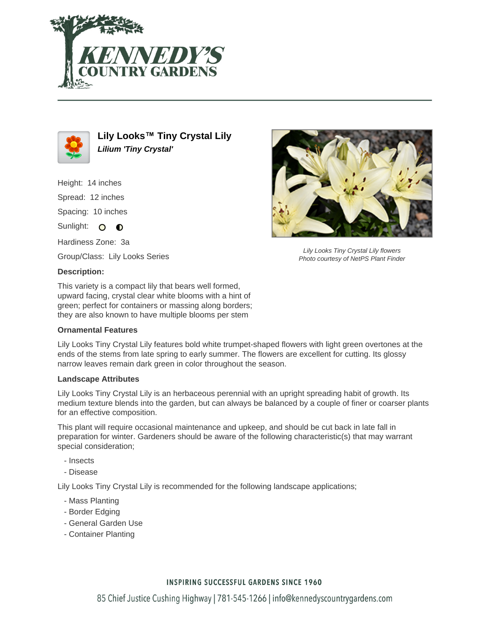



**Lily Looks™ Tiny Crystal Lily Lilium 'Tiny Crystal'**

Height: 14 inches Spread: 12 inches Spacing: 10 inches Sunlight: O O

Hardiness Zone: 3a

Group/Class: Lily Looks Series

# **Description:**

This variety is a compact lily that bears well formed, upward facing, crystal clear white blooms with a hint of green; perfect for containers or massing along borders; they are also known to have multiple blooms per stem

### **Ornamental Features**

Lily Looks Tiny Crystal Lily features bold white trumpet-shaped flowers with light green overtones at the ends of the stems from late spring to early summer. The flowers are excellent for cutting. Its glossy narrow leaves remain dark green in color throughout the season.

### **Landscape Attributes**

Lily Looks Tiny Crystal Lily is an herbaceous perennial with an upright spreading habit of growth. Its medium texture blends into the garden, but can always be balanced by a couple of finer or coarser plants for an effective composition.

This plant will require occasional maintenance and upkeep, and should be cut back in late fall in preparation for winter. Gardeners should be aware of the following characteristic(s) that may warrant special consideration;

- Insects
- Disease

Lily Looks Tiny Crystal Lily is recommended for the following landscape applications;

- Mass Planting
- Border Edging
- General Garden Use
- Container Planting



Lily Looks Tiny Crystal Lily flowers Photo courtesy of NetPS Plant Finder

# **INSPIRING SUCCESSFUL GARDENS SINCE 1960**

85 Chief Justice Cushing Highway | 781-545-1266 | info@kennedyscountrygardens.com